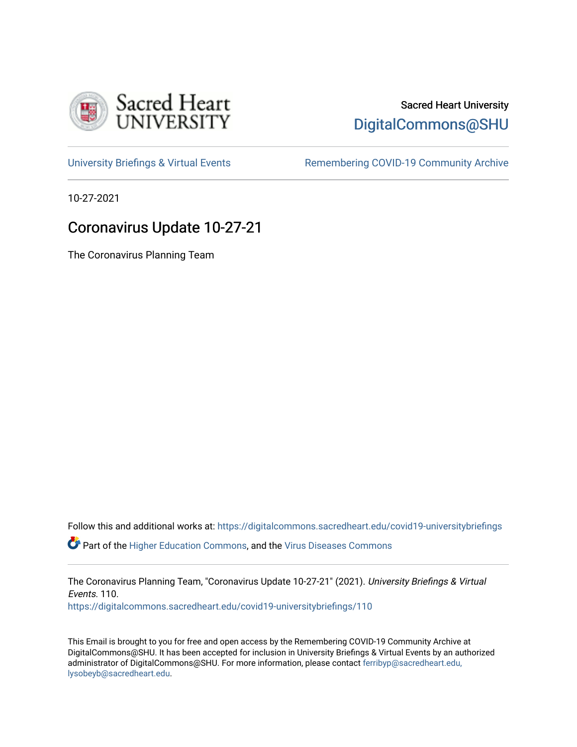

# Sacred Heart University [DigitalCommons@SHU](https://digitalcommons.sacredheart.edu/)

[University Briefings & Virtual Events](https://digitalcommons.sacredheart.edu/covid19-universitybriefings) **Remembering COVID-19 Community Archive** 

10-27-2021

## Coronavirus Update 10-27-21

The Coronavirus Planning Team

Follow this and additional works at: [https://digitalcommons.sacredheart.edu/covid19-universitybriefings](https://digitalcommons.sacredheart.edu/covid19-universitybriefings?utm_source=digitalcommons.sacredheart.edu%2Fcovid19-universitybriefings%2F110&utm_medium=PDF&utm_campaign=PDFCoverPages)

**C** Part of the [Higher Education Commons,](http://network.bepress.com/hgg/discipline/1245?utm_source=digitalcommons.sacredheart.edu%2Fcovid19-universitybriefings%2F110&utm_medium=PDF&utm_campaign=PDFCoverPages) and the [Virus Diseases Commons](http://network.bepress.com/hgg/discipline/998?utm_source=digitalcommons.sacredheart.edu%2Fcovid19-universitybriefings%2F110&utm_medium=PDF&utm_campaign=PDFCoverPages)

The Coronavirus Planning Team, "Coronavirus Update 10-27-21" (2021). University Briefings & Virtual Events. 110. [https://digitalcommons.sacredheart.edu/covid19-universitybriefings/110](https://digitalcommons.sacredheart.edu/covid19-universitybriefings/110?utm_source=digitalcommons.sacredheart.edu%2Fcovid19-universitybriefings%2F110&utm_medium=PDF&utm_campaign=PDFCoverPages)

This Email is brought to you for free and open access by the Remembering COVID-19 Community Archive at DigitalCommons@SHU. It has been accepted for inclusion in University Briefings & Virtual Events by an authorized administrator of DigitalCommons@SHU. For more information, please contact [ferribyp@sacredheart.edu,](mailto:ferribyp@sacredheart.edu,%20lysobeyb@sacredheart.edu) [lysobeyb@sacredheart.edu](mailto:ferribyp@sacredheart.edu,%20lysobeyb@sacredheart.edu).